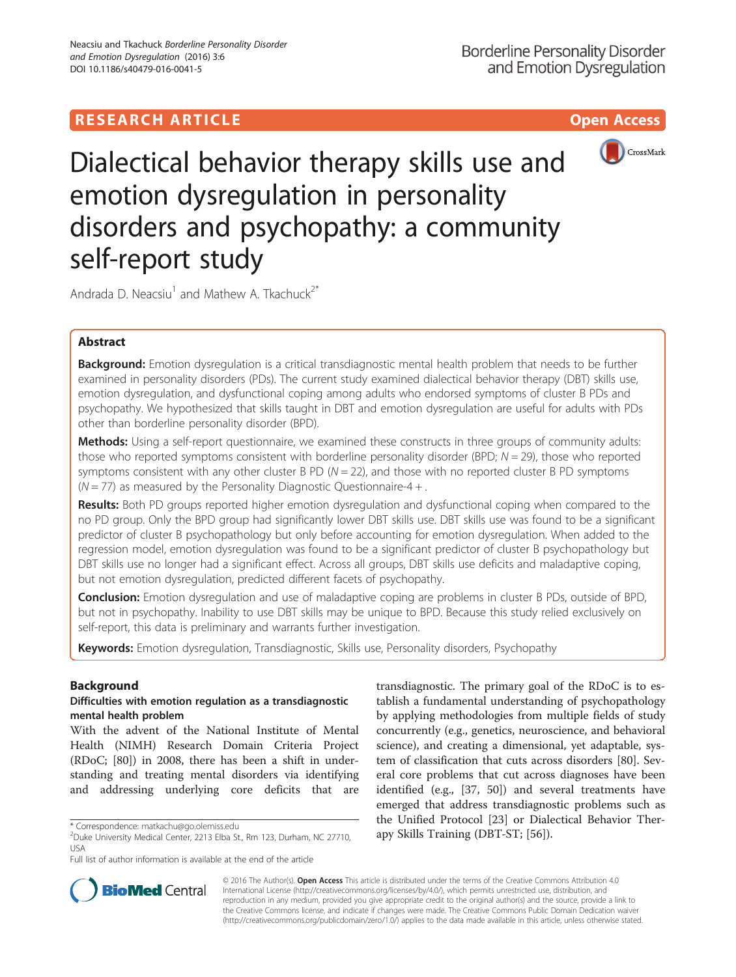# **RESEARCH ARTICLE Example 2018 12:00 Department of the Contract Open Access**



Dialectical behavior therapy skills use and emotion dysregulation in personality disorders and psychopathy: a community self-report study

Andrada D. Neacsiu<sup>1</sup> and Mathew A. Tkachuck<sup>2\*</sup>

# Abstract

Background: Emotion dysregulation is a critical transdiagnostic mental health problem that needs to be further examined in personality disorders (PDs). The current study examined dialectical behavior therapy (DBT) skills use, emotion dysregulation, and dysfunctional coping among adults who endorsed symptoms of cluster B PDs and psychopathy. We hypothesized that skills taught in DBT and emotion dysregulation are useful for adults with PDs other than borderline personality disorder (BPD).

Methods: Using a self-report questionnaire, we examined these constructs in three groups of community adults: those who reported symptoms consistent with borderline personality disorder (BPD;  $N = 29$ ), those who reported symptoms consistent with any other cluster B PD ( $N = 22$ ), and those with no reported cluster B PD symptoms  $(N = 77)$  as measured by the Personality Diagnostic Questionnaire-4 +.

Results: Both PD groups reported higher emotion dysregulation and dysfunctional coping when compared to the no PD group. Only the BPD group had significantly lower DBT skills use. DBT skills use was found to be a significant predictor of cluster B psychopathology but only before accounting for emotion dysregulation. When added to the regression model, emotion dysregulation was found to be a significant predictor of cluster B psychopathology but DBT skills use no longer had a significant effect. Across all groups, DBT skills use deficits and maladaptive coping, but not emotion dysregulation, predicted different facets of psychopathy.

**Conclusion:** Emotion dysregulation and use of maladaptive coping are problems in cluster B PDs, outside of BPD, but not in psychopathy. Inability to use DBT skills may be unique to BPD. Because this study relied exclusively on self-report, this data is preliminary and warrants further investigation.

Keywords: Emotion dysregulation, Transdiagnostic, Skills use, Personality disorders, Psychopathy

## Background

### Difficulties with emotion regulation as a transdiagnostic mental health problem

With the advent of the National Institute of Mental Health (NIMH) Research Domain Criteria Project (RDoC; [\[80](#page-11-0)]) in 2008, there has been a shift in understanding and treating mental disorders via identifying and addressing underlying core deficits that are

transdiagnostic. The primary goal of the RDoC is to establish a fundamental understanding of psychopathology by applying methodologies from multiple fields of study concurrently (e.g., genetics, neuroscience, and behavioral science), and creating a dimensional, yet adaptable, system of classification that cuts across disorders [[80](#page-11-0)]. Several core problems that cut across diagnoses have been identified (e.g., [\[37](#page-10-0), [50\]](#page-10-0)) and several treatments have emerged that address transdiagnostic problems such as the Unified Protocol [\[23](#page-10-0)] or Dialectical Behavior Therapy Skills Training (DBT-ST; [\[56\]](#page-10-0)). \* Correspondence: [matkachu@go.olemiss.edu](mailto:matkachu@go.olemiss.edu) <sup>2</sup> Duke University Medical Center, 2213 Elba St., Rm 123, Durham, NC 27710,



© 2016 The Author(s). Open Access This article is distributed under the terms of the Creative Commons Attribution 4.0 International License [\(http://creativecommons.org/licenses/by/4.0/](http://creativecommons.org/licenses/by/4.0/)), which permits unrestricted use, distribution, and reproduction in any medium, provided you give appropriate credit to the original author(s) and the source, provide a link to the Creative Commons license, and indicate if changes were made. The Creative Commons Public Domain Dedication waiver [\(http://creativecommons.org/publicdomain/zero/1.0/](http://creativecommons.org/publicdomain/zero/1.0/)) applies to the data made available in this article, unless otherwise stated.

USA

Full list of author information is available at the end of the article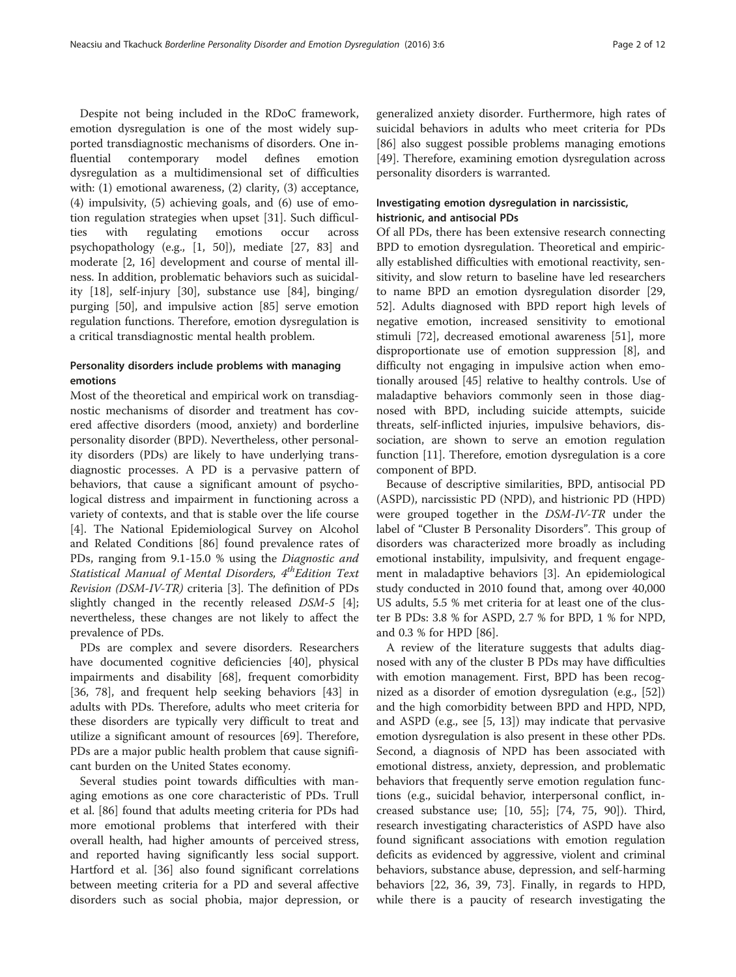Despite not being included in the RDoC framework, emotion dysregulation is one of the most widely supported transdiagnostic mechanisms of disorders. One influential contemporary model defines emotion dysregulation as a multidimensional set of difficulties with: (1) emotional awareness, (2) clarity, (3) acceptance, (4) impulsivity, (5) achieving goals, and (6) use of emotion regulation strategies when upset [[31](#page-10-0)]. Such difficulties with regulating emotions occur across psychopathology (e.g., [\[1,](#page-9-0) [50](#page-10-0)]), mediate [\[27](#page-10-0), [83](#page-11-0)] and moderate [\[2](#page-9-0), [16\]](#page-10-0) development and course of mental illness. In addition, problematic behaviors such as suicidality [[18\]](#page-10-0), self-injury [[30](#page-10-0)], substance use [[84](#page-11-0)], binging/ purging [\[50](#page-10-0)], and impulsive action [[85\]](#page-11-0) serve emotion regulation functions. Therefore, emotion dysregulation is a critical transdiagnostic mental health problem.

### Personality disorders include problems with managing emotions

Most of the theoretical and empirical work on transdiagnostic mechanisms of disorder and treatment has covered affective disorders (mood, anxiety) and borderline personality disorder (BPD). Nevertheless, other personality disorders (PDs) are likely to have underlying transdiagnostic processes. A PD is a pervasive pattern of behaviors, that cause a significant amount of psychological distress and impairment in functioning across a variety of contexts, and that is stable over the life course [[4\]](#page-9-0). The National Epidemiological Survey on Alcohol and Related Conditions [\[86\]](#page-11-0) found prevalence rates of PDs, ranging from 9.1-15.0 % using the Diagnostic and Statistical Manual of Mental Disorders,  $4^{th}$ Edition Text Revision (DSM-IV-TR) criteria [\[3\]](#page-9-0). The definition of PDs slightly changed in the recently released DSM-5 [\[4](#page-9-0)]; nevertheless, these changes are not likely to affect the prevalence of PDs.

PDs are complex and severe disorders. Researchers have documented cognitive deficiencies [[40\]](#page-10-0), physical impairments and disability [[68\]](#page-11-0), frequent comorbidity [[36,](#page-10-0) [78](#page-11-0)], and frequent help seeking behaviors [\[43\]](#page-10-0) in adults with PDs. Therefore, adults who meet criteria for these disorders are typically very difficult to treat and utilize a significant amount of resources [[69](#page-11-0)]. Therefore, PDs are a major public health problem that cause significant burden on the United States economy.

Several studies point towards difficulties with managing emotions as one core characteristic of PDs. Trull et al. [[86\]](#page-11-0) found that adults meeting criteria for PDs had more emotional problems that interfered with their overall health, had higher amounts of perceived stress, and reported having significantly less social support. Hartford et al. [\[36](#page-10-0)] also found significant correlations between meeting criteria for a PD and several affective disorders such as social phobia, major depression, or generalized anxiety disorder. Furthermore, high rates of suicidal behaviors in adults who meet criteria for PDs [[86\]](#page-11-0) also suggest possible problems managing emotions [[49\]](#page-10-0). Therefore, examining emotion dysregulation across personality disorders is warranted.

### Investigating emotion dysregulation in narcissistic, histrionic, and antisocial PDs

Of all PDs, there has been extensive research connecting BPD to emotion dysregulation. Theoretical and empirically established difficulties with emotional reactivity, sensitivity, and slow return to baseline have led researchers to name BPD an emotion dysregulation disorder [[29](#page-10-0), [52\]](#page-10-0). Adults diagnosed with BPD report high levels of negative emotion, increased sensitivity to emotional stimuli [\[72](#page-11-0)], decreased emotional awareness [[51\]](#page-10-0), more disproportionate use of emotion suppression [[8\]](#page-9-0), and difficulty not engaging in impulsive action when emotionally aroused [\[45](#page-10-0)] relative to healthy controls. Use of maladaptive behaviors commonly seen in those diagnosed with BPD, including suicide attempts, suicide threats, self-inflicted injuries, impulsive behaviors, dissociation, are shown to serve an emotion regulation function [\[11](#page-10-0)]. Therefore, emotion dysregulation is a core component of BPD.

Because of descriptive similarities, BPD, antisocial PD (ASPD), narcissistic PD (NPD), and histrionic PD (HPD) were grouped together in the DSM-IV-TR under the label of "Cluster B Personality Disorders". This group of disorders was characterized more broadly as including emotional instability, impulsivity, and frequent engagement in maladaptive behaviors [[3\]](#page-9-0). An epidemiological study conducted in 2010 found that, among over 40,000 US adults, 5.5 % met criteria for at least one of the cluster B PDs: 3.8 % for ASPD, 2.7 % for BPD, 1 % for NPD, and 0.3 % for HPD [\[86](#page-11-0)].

A review of the literature suggests that adults diagnosed with any of the cluster B PDs may have difficulties with emotion management. First, BPD has been recognized as a disorder of emotion dysregulation (e.g., [\[52](#page-10-0)]) and the high comorbidity between BPD and HPD, NPD, and ASPD (e.g., see [[5,](#page-9-0) [13](#page-10-0)]) may indicate that pervasive emotion dysregulation is also present in these other PDs. Second, a diagnosis of NPD has been associated with emotional distress, anxiety, depression, and problematic behaviors that frequently serve emotion regulation functions (e.g., suicidal behavior, interpersonal conflict, increased substance use; [\[10](#page-9-0), [55\]](#page-10-0); [\[74](#page-11-0), [75, 90\]](#page-11-0)). Third, research investigating characteristics of ASPD have also found significant associations with emotion regulation deficits as evidenced by aggressive, violent and criminal behaviors, substance abuse, depression, and self-harming behaviors [\[22](#page-10-0), [36](#page-10-0), [39,](#page-10-0) [73\]](#page-11-0). Finally, in regards to HPD, while there is a paucity of research investigating the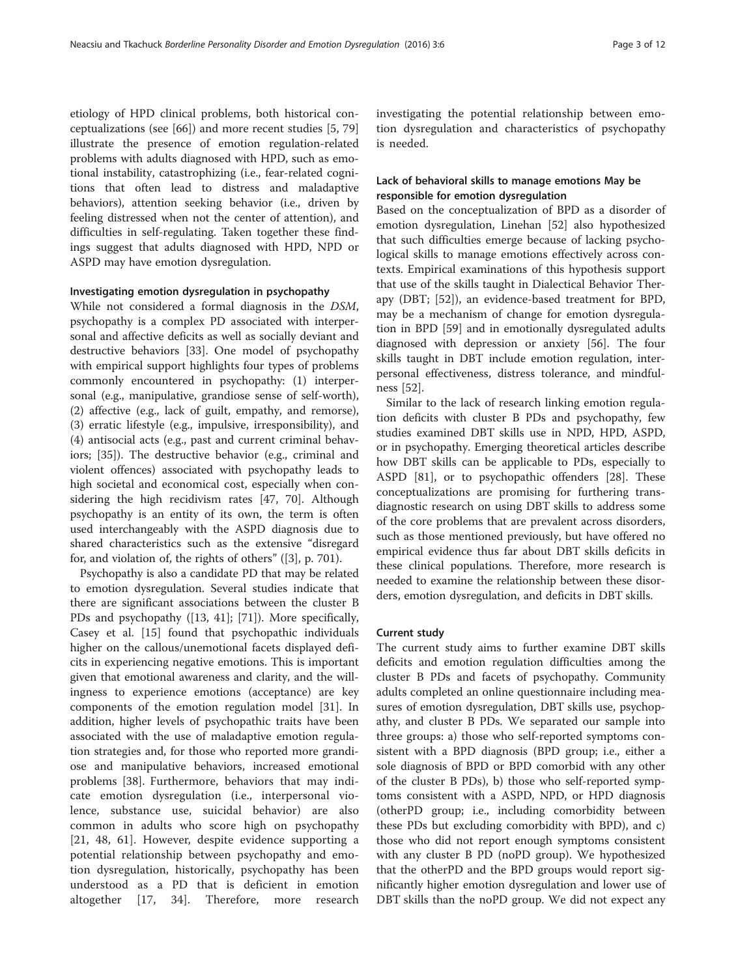etiology of HPD clinical problems, both historical conceptualizations (see [[66](#page-11-0)]) and more recent studies [\[5](#page-9-0), [79](#page-11-0)] illustrate the presence of emotion regulation-related problems with adults diagnosed with HPD, such as emotional instability, catastrophizing (i.e., fear-related cognitions that often lead to distress and maladaptive behaviors), attention seeking behavior (i.e., driven by feeling distressed when not the center of attention), and difficulties in self-regulating. Taken together these findings suggest that adults diagnosed with HPD, NPD or ASPD may have emotion dysregulation.

#### Investigating emotion dysregulation in psychopathy

While not considered a formal diagnosis in the DSM, psychopathy is a complex PD associated with interpersonal and affective deficits as well as socially deviant and destructive behaviors [\[33](#page-10-0)]. One model of psychopathy with empirical support highlights four types of problems commonly encountered in psychopathy: (1) interpersonal (e.g., manipulative, grandiose sense of self-worth), (2) affective (e.g., lack of guilt, empathy, and remorse), (3) erratic lifestyle (e.g., impulsive, irresponsibility), and (4) antisocial acts (e.g., past and current criminal behaviors; [[35\]](#page-10-0)). The destructive behavior (e.g., criminal and violent offences) associated with psychopathy leads to high societal and economical cost, especially when considering the high recidivism rates [\[47](#page-10-0), [70\]](#page-11-0). Although psychopathy is an entity of its own, the term is often used interchangeably with the ASPD diagnosis due to shared characteristics such as the extensive "disregard for, and violation of, the rights of others" ([\[3](#page-9-0)], p. 701).

Psychopathy is also a candidate PD that may be related to emotion dysregulation. Several studies indicate that there are significant associations between the cluster B PDs and psychopathy ([\[13](#page-10-0), [41](#page-10-0)]; [[71](#page-11-0)]). More specifically, Casey et al. [\[15](#page-10-0)] found that psychopathic individuals higher on the callous/unemotional facets displayed deficits in experiencing negative emotions. This is important given that emotional awareness and clarity, and the willingness to experience emotions (acceptance) are key components of the emotion regulation model [[31\]](#page-10-0). In addition, higher levels of psychopathic traits have been associated with the use of maladaptive emotion regulation strategies and, for those who reported more grandiose and manipulative behaviors, increased emotional problems [\[38\]](#page-10-0). Furthermore, behaviors that may indicate emotion dysregulation (i.e., interpersonal violence, substance use, suicidal behavior) are also common in adults who score high on psychopathy [[21, 48](#page-10-0), [61\]](#page-11-0). However, despite evidence supporting a potential relationship between psychopathy and emotion dysregulation, historically, psychopathy has been understood as a PD that is deficient in emotion altogether [[17](#page-10-0), [34\]](#page-10-0). Therefore, more research investigating the potential relationship between emotion dysregulation and characteristics of psychopathy is needed.

### Lack of behavioral skills to manage emotions May be responsible for emotion dysregulation

Based on the conceptualization of BPD as a disorder of emotion dysregulation, Linehan [[52](#page-10-0)] also hypothesized that such difficulties emerge because of lacking psychological skills to manage emotions effectively across contexts. Empirical examinations of this hypothesis support that use of the skills taught in Dialectical Behavior Therapy (DBT; [\[52](#page-10-0)]), an evidence-based treatment for BPD, may be a mechanism of change for emotion dysregulation in BPD [\[59](#page-11-0)] and in emotionally dysregulated adults diagnosed with depression or anxiety [\[56](#page-10-0)]. The four skills taught in DBT include emotion regulation, interpersonal effectiveness, distress tolerance, and mindfulness [\[52](#page-10-0)].

Similar to the lack of research linking emotion regulation deficits with cluster B PDs and psychopathy, few studies examined DBT skills use in NPD, HPD, ASPD, or in psychopathy. Emerging theoretical articles describe how DBT skills can be applicable to PDs, especially to ASPD [\[81](#page-11-0)], or to psychopathic offenders [\[28](#page-10-0)]. These conceptualizations are promising for furthering transdiagnostic research on using DBT skills to address some of the core problems that are prevalent across disorders, such as those mentioned previously, but have offered no empirical evidence thus far about DBT skills deficits in these clinical populations. Therefore, more research is needed to examine the relationship between these disorders, emotion dysregulation, and deficits in DBT skills.

### Current study

The current study aims to further examine DBT skills deficits and emotion regulation difficulties among the cluster B PDs and facets of psychopathy. Community adults completed an online questionnaire including measures of emotion dysregulation, DBT skills use, psychopathy, and cluster B PDs. We separated our sample into three groups: a) those who self-reported symptoms consistent with a BPD diagnosis (BPD group; i.e., either a sole diagnosis of BPD or BPD comorbid with any other of the cluster B PDs), b) those who self-reported symptoms consistent with a ASPD, NPD, or HPD diagnosis (otherPD group; i.e., including comorbidity between these PDs but excluding comorbidity with BPD), and c) those who did not report enough symptoms consistent with any cluster B PD (noPD group). We hypothesized that the otherPD and the BPD groups would report significantly higher emotion dysregulation and lower use of DBT skills than the noPD group. We did not expect any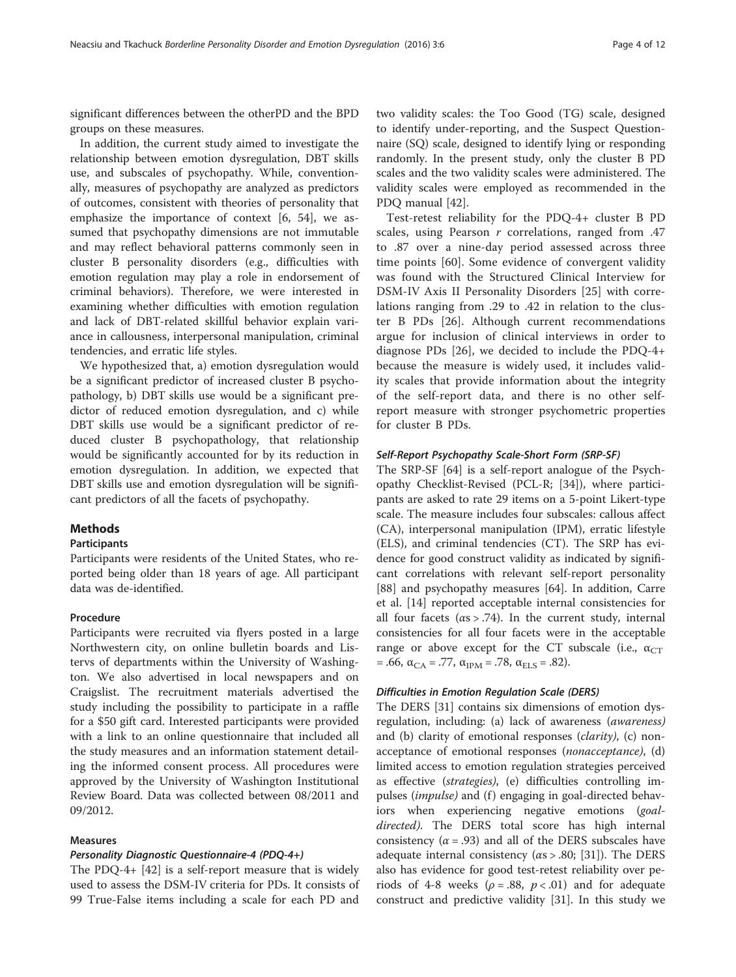significant differences between the otherPD and the BPD groups on these measures.

In addition, the current study aimed to investigate the relationship between emotion dysregulation, DBT skills use, and subscales of psychopathy. While, conventionally, measures of psychopathy are analyzed as predictors of outcomes, consistent with theories of personality that emphasize the importance of context [\[6](#page-9-0), [54\]](#page-10-0), we assumed that psychopathy dimensions are not immutable and may reflect behavioral patterns commonly seen in cluster B personality disorders (e.g., difficulties with emotion regulation may play a role in endorsement of criminal behaviors). Therefore, we were interested in examining whether difficulties with emotion regulation and lack of DBT-related skillful behavior explain variance in callousness, interpersonal manipulation, criminal tendencies, and erratic life styles.

We hypothesized that, a) emotion dysregulation would be a significant predictor of increased cluster B psychopathology, b) DBT skills use would be a significant predictor of reduced emotion dysregulation, and c) while DBT skills use would be a significant predictor of reduced cluster B psychopathology, that relationship would be significantly accounted for by its reduction in emotion dysregulation. In addition, we expected that DBT skills use and emotion dysregulation will be significant predictors of all the facets of psychopathy.

### **Methods**

#### **Participants**

Participants were residents of the United States, who reported being older than 18 years of age. All participant data was de-identified.

### Procedure

Participants were recruited via flyers posted in a large Northwestern city, on online bulletin boards and Listervs of departments within the University of Washington. We also advertised in local newspapers and on Craigslist. The recruitment materials advertised the study including the possibility to participate in a raffle for a \$50 gift card. Interested participants were provided with a link to an online questionnaire that included all the study measures and an information statement detailing the informed consent process. All procedures were approved by the University of Washington Institutional Review Board. Data was collected between 08/2011 and 09/2012.

### Measures

### Personality Diagnostic Questionnaire-4 (PDQ-4+)

The PDQ-4+ [\[42](#page-10-0)] is a self-report measure that is widely used to assess the DSM-IV criteria for PDs. It consists of 99 True-False items including a scale for each PD and two validity scales: the Too Good (TG) scale, designed to identify under-reporting, and the Suspect Questionnaire (SQ) scale, designed to identify lying or responding randomly. In the present study, only the cluster B PD scales and the two validity scales were administered. The validity scales were employed as recommended in the PDQ manual [\[42](#page-10-0)].

Test-retest reliability for the PDQ-4+ cluster B PD scales, using Pearson  $r$  correlations, ranged from .47 to .87 over a nine-day period assessed across three time points [\[60](#page-11-0)]. Some evidence of convergent validity was found with the Structured Clinical Interview for DSM-IV Axis II Personality Disorders [[25\]](#page-10-0) with correlations ranging from .29 to .42 in relation to the cluster B PDs [\[26](#page-10-0)]. Although current recommendations argue for inclusion of clinical interviews in order to diagnose PDs [[26\]](#page-10-0), we decided to include the PDQ-4+ because the measure is widely used, it includes validity scales that provide information about the integrity of the self-report data, and there is no other selfreport measure with stronger psychometric properties for cluster B PDs.

### Self-Report Psychopathy Scale-Short Form (SRP-SF)

The SRP-SF [[64](#page-11-0)] is a self-report analogue of the Psychopathy Checklist-Revised (PCL-R; [[34\]](#page-10-0)), where participants are asked to rate 29 items on a 5-point Likert-type scale. The measure includes four subscales: callous affect (CA), interpersonal manipulation (IPM), erratic lifestyle (ELS), and criminal tendencies (CT). The SRP has evidence for good construct validity as indicated by significant correlations with relevant self-report personality [[88\]](#page-11-0) and psychopathy measures [[64\]](#page-11-0). In addition, Carre et al. [\[14](#page-10-0)] reported acceptable internal consistencies for all four facets  $(\alpha s > .74)$ . In the current study, internal consistencies for all four facets were in the acceptable range or above except for the CT subscale (i.e.,  $\alpha_{CT}$  $= .66$ ,  $\alpha_{CA} = .77$ ,  $\alpha_{IPM} = .78$ ,  $\alpha_{ELS} = .82$ ).

### Difficulties in Emotion Regulation Scale (DERS)

The DERS [[31](#page-10-0)] contains six dimensions of emotion dysregulation, including: (a) lack of awareness (awareness) and (b) clarity of emotional responses (clarity), (c) nonacceptance of emotional responses (*nonacceptance*), (d) limited access to emotion regulation strategies perceived as effective (strategies), (e) difficulties controlling impulses (*impulse*) and (f) engaging in goal-directed behaviors when experiencing negative emotions (goaldirected). The DERS total score has high internal consistency ( $\alpha$  = .93) and all of the DERS subscales have adequate internal consistency ( $\alpha$ s > .80; [[31\]](#page-10-0)). The DERS also has evidence for good test-retest reliability over periods of 4-8 weeks ( $\rho = .88$ ,  $p < .01$ ) and for adequate construct and predictive validity [[31\]](#page-10-0). In this study we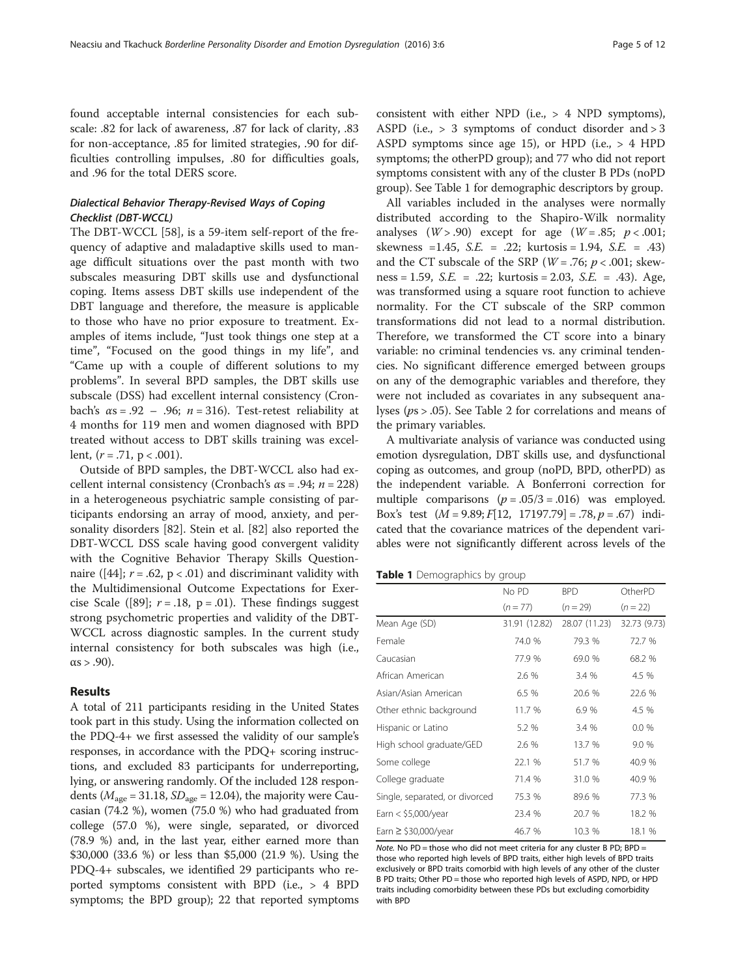found acceptable internal consistencies for each subscale: .82 for lack of awareness, .87 for lack of clarity, .83 for non-acceptance, .85 for limited strategies, .90 for difficulties controlling impulses, .80 for difficulties goals, and .96 for the total DERS score.

### Dialectical Behavior Therapy-Revised Ways of Coping Checklist (DBT-WCCL)

The DBT-WCCL [[58](#page-11-0)], is a 59-item self-report of the frequency of adaptive and maladaptive skills used to manage difficult situations over the past month with two subscales measuring DBT skills use and dysfunctional coping. Items assess DBT skills use independent of the DBT language and therefore, the measure is applicable to those who have no prior exposure to treatment. Examples of items include, "Just took things one step at a time", "Focused on the good things in my life", and "Came up with a couple of different solutions to my problems". In several BPD samples, the DBT skills use subscale (DSS) had excellent internal consistency (Cronbach's  $\alpha s = .92 - .96$ ;  $n = 316$ ). Test-retest reliability at 4 months for 119 men and women diagnosed with BPD treated without access to DBT skills training was excellent,  $(r = .71, p < .001)$ .

Outside of BPD samples, the DBT-WCCL also had excellent internal consistency (Cronbach's  $\alpha s = .94; n = 228$ ) in a heterogeneous psychiatric sample consisting of participants endorsing an array of mood, anxiety, and personality disorders [\[82](#page-11-0)]. Stein et al. [\[82\]](#page-11-0) also reported the DBT-WCCL DSS scale having good convergent validity with the Cognitive Behavior Therapy Skills Question-naire ([[44](#page-10-0)];  $r = .62$ ,  $p < .01$ ) and discriminant validity with the Multidimensional Outcome Expectations for Exer-cise Scale ([[89](#page-11-0)];  $r = .18$ ,  $p = .01$ ). These findings suggest strong psychometric properties and validity of the DBT-WCCL across diagnostic samples. In the current study internal consistency for both subscales was high (i.e.,  $\alpha s > .90$ ).

### Results

A total of 211 participants residing in the United States took part in this study. Using the information collected on the PDQ-4+ we first assessed the validity of our sample's responses, in accordance with the PDQ+ scoring instructions, and excluded 83 participants for underreporting, lying, or answering randomly. Of the included 128 respondents ( $M_{\text{age}}$  = 31.18,  $SD_{\text{age}}$  = 12.04), the majority were Caucasian (74.2 %), women (75.0 %) who had graduated from college (57.0 %), were single, separated, or divorced (78.9 %) and, in the last year, either earned more than \$30,000 (33.6 %) or less than \$5,000 (21.9 %). Using the PDQ-4+ subscales, we identified 29 participants who reported symptoms consistent with BPD (i.e., > 4 BPD symptoms; the BPD group); 22 that reported symptoms consistent with either NPD (i.e.,  $> 4$  NPD symptoms), ASPD (i.e.,  $> 3$  symptoms of conduct disorder and  $> 3$ ASPD symptoms since age 15), or HPD (i.e.,  $> 4$  HPD symptoms; the otherPD group); and 77 who did not report symptoms consistent with any of the cluster B PDs (noPD group). See Table 1 for demographic descriptors by group.

All variables included in the analyses were normally distributed according to the Shapiro-Wilk normality analyses  $(W > .90)$  except for age  $(W = .85; p < .001;$ skewness =1.45, S.E. = .22; kurtosis = 1.94, S.E. = .43) and the CT subscale of the SRP ( $W = .76$ ;  $p < .001$ ; skewness = 1.59, S.E. = .22; kurtosis = 2.03, S.E. = .43). Age, was transformed using a square root function to achieve normality. For the CT subscale of the SRP common transformations did not lead to a normal distribution. Therefore, we transformed the CT score into a binary variable: no criminal tendencies vs. any criminal tendencies. No significant difference emerged between groups on any of the demographic variables and therefore, they were not included as covariates in any subsequent analyses (ps > .05). See Table [2](#page-5-0) for correlations and means of the primary variables.

A multivariate analysis of variance was conducted using emotion dysregulation, DBT skills use, and dysfunctional coping as outcomes, and group (noPD, BPD, otherPD) as the independent variable. A Bonferroni correction for multiple comparisons  $(p = .05/3 = .016)$  was employed. Box's test  $(M = 9.89; F[12, 17197.79] = .78, p = .67)$  indicated that the covariance matrices of the dependent variables were not significantly different across levels of the

**Table 1** Demographics by group

|                                | No PD         | <b>BPD</b>    | OtherPD      |
|--------------------------------|---------------|---------------|--------------|
|                                | $(n = 77)$    | $(n = 29)$    | $(n = 22)$   |
| Mean Age (SD)                  | 31.91 (12.82) | 28.07 (11.23) | 32.73 (9.73) |
| Female                         | 74.0 %        | 79.3 %        | 72.7 %       |
| Caucasian                      | 77.9 %        | 69.0 %        | 68.2 %       |
| African American               | 2.6 %         | 3.4 %         | 4.5 %        |
| Asian/Asian American           | 6.5 %         | 20.6 %        | 22.6 %       |
| Other ethnic background        | 11.7 %        | 6.9%          | 4.5 %        |
| Hispanic or Latino             | 5.2 %         | 3.4 %         | 0.0%         |
| High school graduate/GED       | 2.6 %         | 13.7 %        | 9.0 %        |
| Some college                   | 22.1 %        | 51.7 %        | 40.9 %       |
| College graduate               | 71.4 %        | 31.0 %        | 40.9 %       |
| Single, separated, or divorced | 75.3 %        | 89.6 %        | 77.3 %       |
| Earn $<$ \$5,000/year          | 23.4 %        | 20.7 %        | 18.2 %       |
| Earn $\geq$ \$30,000/year      | 46.7 %        | 10.3 %        | 18.1 %       |

Note. No PD = those who did not meet criteria for any cluster B PD; BPD = those who reported high levels of BPD traits, either high levels of BPD traits exclusively or BPD traits comorbid with high levels of any other of the cluster B PD traits; Other PD = those who reported high levels of ASPD, NPD, or HPD traits including comorbidity between these PDs but excluding comorbidity with BPD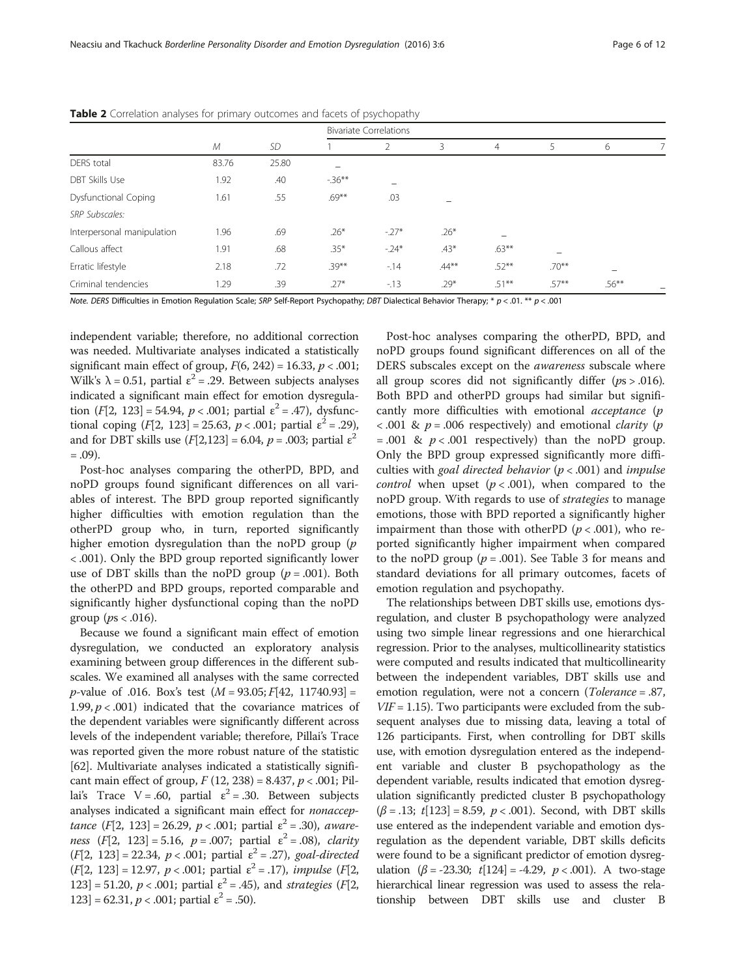|                             |       |           | <b>Bivariate Correlations</b> |                          |                          |                          |                          |          |  |
|-----------------------------|-------|-----------|-------------------------------|--------------------------|--------------------------|--------------------------|--------------------------|----------|--|
|                             | М     | <b>SD</b> |                               |                          | 3                        | $\overline{4}$           | 5                        | 6        |  |
| DERS total                  | 83.76 | 25.80     | -                             |                          |                          |                          |                          |          |  |
| <b>DBT Skills Use</b>       | 1.92  | .40       | $-36***$                      | $\overline{\phantom{0}}$ |                          |                          |                          |          |  |
| <b>Dysfunctional Coping</b> | 1.61  | .55       | $.69***$                      | .03                      | $\overline{\phantom{a}}$ |                          |                          |          |  |
| <b>SRP Subscales:</b>       |       |           |                               |                          |                          |                          |                          |          |  |
| Interpersonal manipulation  | 1.96  | .69       | $.26*$                        | $-27*$                   | $.26*$                   | $\overline{\phantom{0}}$ |                          |          |  |
| Callous affect              | 1.91  | .68       | $.35*$                        | $-24*$                   | $.43*$                   | $.63***$                 | $\overline{\phantom{a}}$ |          |  |
| Erratic lifestyle           | 2.18  | .72       | $.39***$                      | $-14$                    | $.44***$                 | $.52***$                 | $.70***$                 | -        |  |
| Criminal tendencies         | 1.29  | .39       | $.27*$                        | $-13$                    | $.29*$                   | $.51***$                 | $.57***$                 | $.56***$ |  |

<span id="page-5-0"></span>Table 2 Correlation analyses for primary outcomes and facets of psychopathy

Note. DERS Difficulties in Emotion Regulation Scale; SRP Self-Report Psychopathy; DBT Dialectical Behavior Therapy; \* p < .01. \*\* p < .001

independent variable; therefore, no additional correction was needed. Multivariate analyses indicated a statistically significant main effect of group,  $F(6, 242) = 16.33$ ,  $p < .001$ ; Wilk's  $\lambda = 0.51$ , partial  $\varepsilon^2 = .29$ . Between subjects analyses indicated a significant main effect for emotion dysregulation  $(F[2, 123] = 54.94, p < .001;$  partial  $\varepsilon^2 = .47$ ), dysfunctional coping  $(F[2, 123] = 25.63, p < .001;$  partial  $\varepsilon^2 = .29$ ), and for DBT skills use  $(F[2,123] = 6.04, p = .003;$  partial  $\varepsilon^2$  $= .09$ ).

Post-hoc analyses comparing the otherPD, BPD, and noPD groups found significant differences on all variables of interest. The BPD group reported significantly higher difficulties with emotion regulation than the otherPD group who, in turn, reported significantly higher emotion dysregulation than the noPD group (p < .001). Only the BPD group reported significantly lower use of DBT skills than the noPD group ( $p = .001$ ). Both the otherPD and BPD groups, reported comparable and significantly higher dysfunctional coping than the noPD group ( $ps < .016$ ).

Because we found a significant main effect of emotion dysregulation, we conducted an exploratory analysis examining between group differences in the different subscales. We examined all analyses with the same corrected *p*-value of .016. Box's test  $(M = 93.05; F[42, 11740.93] =$ 1.99,  $p < .001$ ) indicated that the covariance matrices of the dependent variables were significantly different across levels of the independent variable; therefore, Pillai's Trace was reported given the more robust nature of the statistic [[62](#page-11-0)]. Multivariate analyses indicated a statistically significant main effect of group,  $F(12, 238) = 8.437$ ,  $p < .001$ ; Pillai's Trace V = .60, partial  $\varepsilon^2$  = .30. Between subjects analyses indicated a significant main effect for nonacceptance  $(F[2, 123] = 26.29, p < .001;$  partial  $\varepsilon^2 = .30$ ), aware*ness*  $(F[2, 123] = 5.16, p = .007;$  partial  $\varepsilon^2 = .08$ ), *clarity*  $(F[2, 123] = 22.34, p < .001;$  partial  $\varepsilon^2 = .27$ ), goal-directed  $(F[2, 123] = 12.97, p < .001;$  partial  $\varepsilon^2 = .17$ ), *impulse* ( $F[2, 123] = .001$ 123] = 51.20,  $p < .001$ ; partial  $\varepsilon^2 = .45$ ), and *strategies* (*F*[2, 123] = 62.31,  $p < .001$ ; partial  $\varepsilon^2 = .50$ ).

Post-hoc analyses comparing the otherPD, BPD, and noPD groups found significant differences on all of the DERS subscales except on the awareness subscale where all group scores did not significantly differ (ps > .016). Both BPD and otherPD groups had similar but significantly more difficulties with emotional *acceptance* (p  $\lt$  .001 &  $p = .006$  respectively) and emotional *clarity* (p  $= .001 \& p < .001$  respectively) than the noPD group. Only the BPD group expressed significantly more difficulties with *goal directed behavior* ( $p < .001$ ) and *impulse control* when upset  $(p < .001)$ , when compared to the noPD group. With regards to use of strategies to manage emotions, those with BPD reported a significantly higher impairment than those with otherPD ( $p < .001$ ), who reported significantly higher impairment when compared to the noPD group ( $p = .001$ ). See Table [3](#page-6-0) for means and standard deviations for all primary outcomes, facets of emotion regulation and psychopathy.

The relationships between DBT skills use, emotions dysregulation, and cluster B psychopathology were analyzed using two simple linear regressions and one hierarchical regression. Prior to the analyses, multicollinearity statistics were computed and results indicated that multicollinearity between the independent variables, DBT skills use and emotion regulation, were not a concern (Tolerance = .87,  $VIF = 1.15$ ). Two participants were excluded from the subsequent analyses due to missing data, leaving a total of 126 participants. First, when controlling for DBT skills use, with emotion dysregulation entered as the independent variable and cluster B psychopathology as the dependent variable, results indicated that emotion dysregulation significantly predicted cluster B psychopathology  $(\beta = .13; t[123] = 8.59, p < .001)$ . Second, with DBT skills use entered as the independent variable and emotion dysregulation as the dependent variable, DBT skills deficits were found to be a significant predictor of emotion dysregulation  $(\beta = -23.30; t[124] = -4.29, p < .001)$ . A two-stage hierarchical linear regression was used to assess the relationship between DBT skills use and cluster B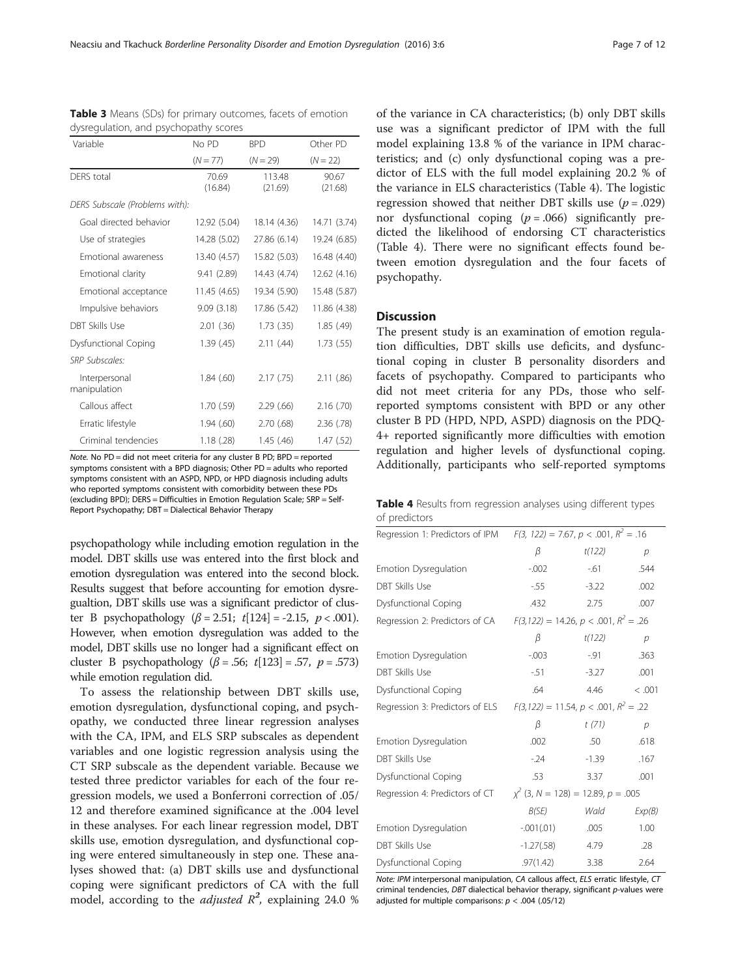| Variable                       | No PD            | <b>BPD</b>        | Other PD         |  |
|--------------------------------|------------------|-------------------|------------------|--|
|                                | $(N = 77)$       | $(N = 29)$        | $(N = 22)$       |  |
| <b>DERS</b> total              | 70.69<br>(16.84) | 113.48<br>(21.69) | 90.67<br>(21.68) |  |
| DERS Subscale (Problems with): |                  |                   |                  |  |
| Goal directed behavior         | 12.92 (5.04)     | 18.14 (4.36)      | 14.71 (3.74)     |  |
| Use of strategies              | 14.28 (5.02)     | 27.86 (6.14)      | 19.24 (6.85)     |  |
| Emotional awareness            | 13.40 (4.57)     | 15.82 (5.03)      | 16.48 (4.40)     |  |
| Emotional clarity              | 9.41 (2.89)      | 14.43 (4.74)      | 12.62 (4.16)     |  |
| Emotional acceptance           | 11.45 (4.65)     | 19.34 (5.90)      | 15.48 (5.87)     |  |
| Impulsive behaviors            | 9.09(3.18)       | 17.86 (5.42)      | 11.86 (4.38)     |  |
| DBT Skills Use                 | $2.01$ $(.36)$   | 1.73(.35)         | 1.85(49)         |  |
| Dysfunctional Coping           | 1.39(45)         | 2.11(.44)         | 1.73(55)         |  |
| <b>SRP Subscales:</b>          |                  |                   |                  |  |
| Interpersonal<br>manipulation  | 1.84(.60)        | 2.17(0.75)        | 2.11(.86)        |  |
| Callous affect                 | 1.70(59)         | 2.29(.66)         | 2.16(0.70)       |  |
| Erratic lifestyle              | 1.94(.60)        | 2.70(.68)         | 2.36(.78)        |  |
| Criminal tendencies            | 1.18(0.28)       | 1.45(.46)         | 1.47 (.52)       |  |

<span id="page-6-0"></span>Table 3 Means (SDs) for primary outcomes, facets of emotion dysregulation, and psychopathy scores

Note. No PD = did not meet criteria for any cluster B PD; BPD = reported symptoms consistent with a BPD diagnosis; Other PD = adults who reported symptoms consistent with an ASPD, NPD, or HPD diagnosis including adults who reported symptoms consistent with comorbidity between these PDs (excluding BPD); DERS = Difficulties in Emotion Regulation Scale; SRP = Self-

psychopathology while including emotion regulation in the model. DBT skills use was entered into the first block and emotion dysregulation was entered into the second block. Results suggest that before accounting for emotion dysregualtion, DBT skills use was a significant predictor of cluster B psychopathology  $(\beta = 2.51; t[124] = -2.15, p < .001)$ . However, when emotion dysregulation was added to the model, DBT skills use no longer had a significant effect on cluster B psychopathology ( $\beta$  = .56; t[123] = .57, p = .573) while emotion regulation did.

To assess the relationship between DBT skills use, emotion dysregulation, dysfunctional coping, and psychopathy, we conducted three linear regression analyses with the CA, IPM, and ELS SRP subscales as dependent variables and one logistic regression analysis using the CT SRP subscale as the dependent variable. Because we tested three predictor variables for each of the four regression models, we used a Bonferroni correction of .05/ 12 and therefore examined significance at the .004 level in these analyses. For each linear regression model, DBT skills use, emotion dysregulation, and dysfunctional coping were entered simultaneously in step one. These analyses showed that: (a) DBT skills use and dysfunctional coping were significant predictors of CA with the full model, according to the *adjusted*  $R^2$ , explaining 24.0 %

of the variance in CA characteristics; (b) only DBT skills use was a significant predictor of IPM with the full model explaining 13.8 % of the variance in IPM characteristics; and (c) only dysfunctional coping was a predictor of ELS with the full model explaining 20.2 % of the variance in ELS characteristics (Table 4). The logistic regression showed that neither DBT skills use  $(p = .029)$ nor dysfunctional coping  $(p=.066)$  significantly predicted the likelihood of endorsing CT characteristics (Table 4). There were no significant effects found between emotion dysregulation and the four facets of psychopathy.

### **Discussion**

The present study is an examination of emotion regulation difficulties, DBT skills use deficits, and dysfunctional coping in cluster B personality disorders and facets of psychopathy. Compared to participants who did not meet criteria for any PDs, those who selfreported symptoms consistent with BPD or any other cluster B PD (HPD, NPD, ASPD) diagnosis on the PDQ-4+ reported significantly more difficulties with emotion regulation and higher levels of dysfunctional coping. Additionally, participants who self-reported symptoms

Report Psychopathy; DENS = Difficulties in Emotion Regulation Scale; SRP = Self-<br>Report Psychopathy; DBT = Dialectical Behavior Therapy of predictors

| Regression 1: Predictors of IPM | $F(3, 122) = 7.67, p < .001, R2 = .16$ |         |               |
|---------------------------------|----------------------------------------|---------|---------------|
|                                 | β                                      | t(122)  | р             |
| Emotion Dysregulation           | $-0.002$                               | -.61    | .544          |
| <b>DBT Skills Use</b>           | -.55                                   | $-3.22$ | .002          |
| <b>Dysfunctional Coping</b>     | .432                                   | 2.75    | .007          |
| Regression 2: Predictors of CA  | $F(3,122) = 14.26, p < .001, R2 = .26$ |         |               |
|                                 | β                                      | t(122)  | $\mathcal{D}$ |
| Emotion Dysregulation           | $-0.003$                               | $-.91$  | .363          |
| <b>DBT Skills Use</b>           | $-51$                                  | $-3.27$ | .001          |
| <b>Dysfunctional Coping</b>     | .64                                    | 4.46    | < .001        |
| Regression 3: Predictors of ELS | $F(3,122) = 11.54, p < .001, R2 = .22$ |         |               |
|                                 | $\beta$                                | t(71)   | р             |
| Emotion Dysregulation           | .002                                   | .50     | .618          |
| <b>DBT Skills Use</b>           | $-24$                                  | $-1.39$ | .167          |
| <b>Dysfunctional Coping</b>     | .53                                    | 3.37    | .001          |
| Regression 4: Predictors of CT  | $x^2$ (3, N = 128) = 12.89, p = .005   |         |               |
|                                 | B(SE)                                  | Wald    | Exp(B)        |
| Emotion Dysregulation           | $-.001(.01)$                           | .005    | 1.00          |
| <b>DBT Skills Use</b>           | $-1.27(.58)$                           | 4.79    | .28           |
| <b>Dysfunctional Coping</b>     | .97(1.42)                              | 3.38    | 2.64          |

Note: IPM interpersonal manipulation, CA callous affect, ELS erratic lifestyle, CT criminal tendencies, DBT dialectical behavior therapy, significant p-values were adjusted for multiple comparisons:  $p < .004 (.05/12)$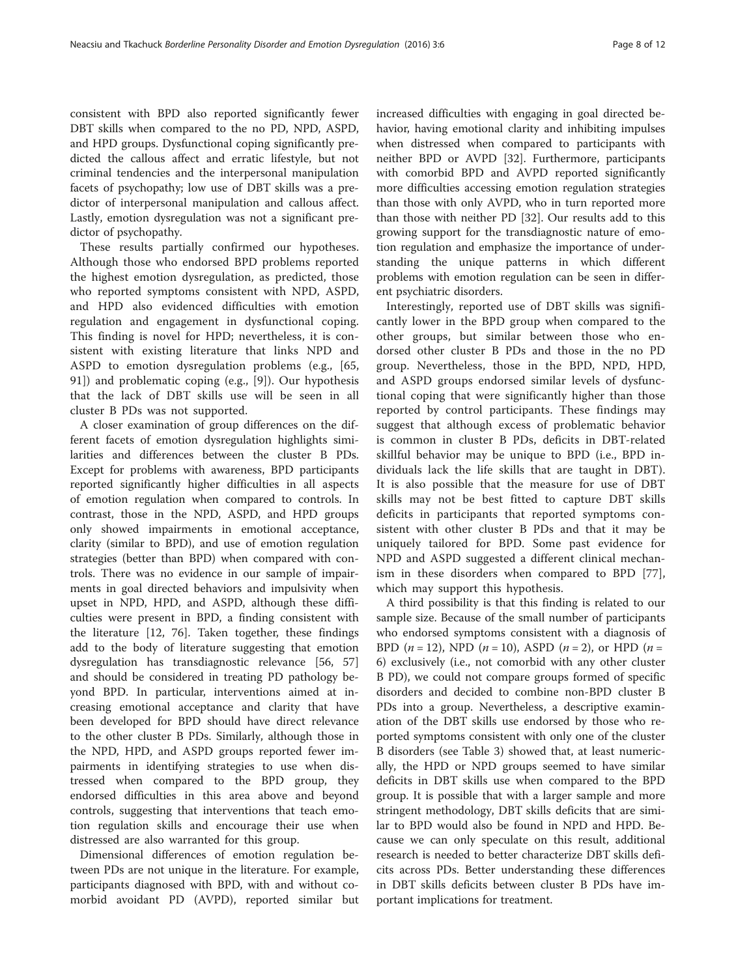consistent with BPD also reported significantly fewer DBT skills when compared to the no PD, NPD, ASPD, and HPD groups. Dysfunctional coping significantly predicted the callous affect and erratic lifestyle, but not criminal tendencies and the interpersonal manipulation facets of psychopathy; low use of DBT skills was a predictor of interpersonal manipulation and callous affect. Lastly, emotion dysregulation was not a significant predictor of psychopathy.

These results partially confirmed our hypotheses. Although those who endorsed BPD problems reported the highest emotion dysregulation, as predicted, those who reported symptoms consistent with NPD, ASPD, and HPD also evidenced difficulties with emotion regulation and engagement in dysfunctional coping. This finding is novel for HPD; nevertheless, it is consistent with existing literature that links NPD and ASPD to emotion dysregulation problems (e.g., [\[65](#page-11-0), [91\]](#page-11-0)) and problematic coping (e.g., [\[9](#page-9-0)]). Our hypothesis that the lack of DBT skills use will be seen in all cluster B PDs was not supported.

A closer examination of group differences on the different facets of emotion dysregulation highlights similarities and differences between the cluster B PDs. Except for problems with awareness, BPD participants reported significantly higher difficulties in all aspects of emotion regulation when compared to controls. In contrast, those in the NPD, ASPD, and HPD groups only showed impairments in emotional acceptance, clarity (similar to BPD), and use of emotion regulation strategies (better than BPD) when compared with controls. There was no evidence in our sample of impairments in goal directed behaviors and impulsivity when upset in NPD, HPD, and ASPD, although these difficulties were present in BPD, a finding consistent with the literature [\[12](#page-10-0), [76\]](#page-11-0). Taken together, these findings add to the body of literature suggesting that emotion dysregulation has transdiagnostic relevance [\[56,](#page-10-0) [57](#page-11-0)] and should be considered in treating PD pathology beyond BPD. In particular, interventions aimed at increasing emotional acceptance and clarity that have been developed for BPD should have direct relevance to the other cluster B PDs. Similarly, although those in the NPD, HPD, and ASPD groups reported fewer impairments in identifying strategies to use when distressed when compared to the BPD group, they endorsed difficulties in this area above and beyond controls, suggesting that interventions that teach emotion regulation skills and encourage their use when distressed are also warranted for this group.

Dimensional differences of emotion regulation between PDs are not unique in the literature. For example, participants diagnosed with BPD, with and without comorbid avoidant PD (AVPD), reported similar but

increased difficulties with engaging in goal directed behavior, having emotional clarity and inhibiting impulses when distressed when compared to participants with neither BPD or AVPD [[32\]](#page-10-0). Furthermore, participants with comorbid BPD and AVPD reported significantly more difficulties accessing emotion regulation strategies than those with only AVPD, who in turn reported more than those with neither PD [[32\]](#page-10-0). Our results add to this growing support for the transdiagnostic nature of emotion regulation and emphasize the importance of understanding the unique patterns in which different problems with emotion regulation can be seen in different psychiatric disorders.

Interestingly, reported use of DBT skills was significantly lower in the BPD group when compared to the other groups, but similar between those who endorsed other cluster B PDs and those in the no PD group. Nevertheless, those in the BPD, NPD, HPD, and ASPD groups endorsed similar levels of dysfunctional coping that were significantly higher than those reported by control participants. These findings may suggest that although excess of problematic behavior is common in cluster B PDs, deficits in DBT-related skillful behavior may be unique to BPD (i.e., BPD individuals lack the life skills that are taught in DBT). It is also possible that the measure for use of DBT skills may not be best fitted to capture DBT skills deficits in participants that reported symptoms consistent with other cluster B PDs and that it may be uniquely tailored for BPD. Some past evidence for NPD and ASPD suggested a different clinical mechanism in these disorders when compared to BPD [\[77](#page-11-0)], which may support this hypothesis.

A third possibility is that this finding is related to our sample size. Because of the small number of participants who endorsed symptoms consistent with a diagnosis of BPD  $(n = 12)$ , NPD  $(n = 10)$ , ASPD  $(n = 2)$ , or HPD  $(n = 12)$ 6) exclusively (i.e., not comorbid with any other cluster B PD), we could not compare groups formed of specific disorders and decided to combine non-BPD cluster B PDs into a group. Nevertheless, a descriptive examination of the DBT skills use endorsed by those who reported symptoms consistent with only one of the cluster B disorders (see Table [3\)](#page-6-0) showed that, at least numerically, the HPD or NPD groups seemed to have similar deficits in DBT skills use when compared to the BPD group. It is possible that with a larger sample and more stringent methodology, DBT skills deficits that are similar to BPD would also be found in NPD and HPD. Because we can only speculate on this result, additional research is needed to better characterize DBT skills deficits across PDs. Better understanding these differences in DBT skills deficits between cluster B PDs have important implications for treatment.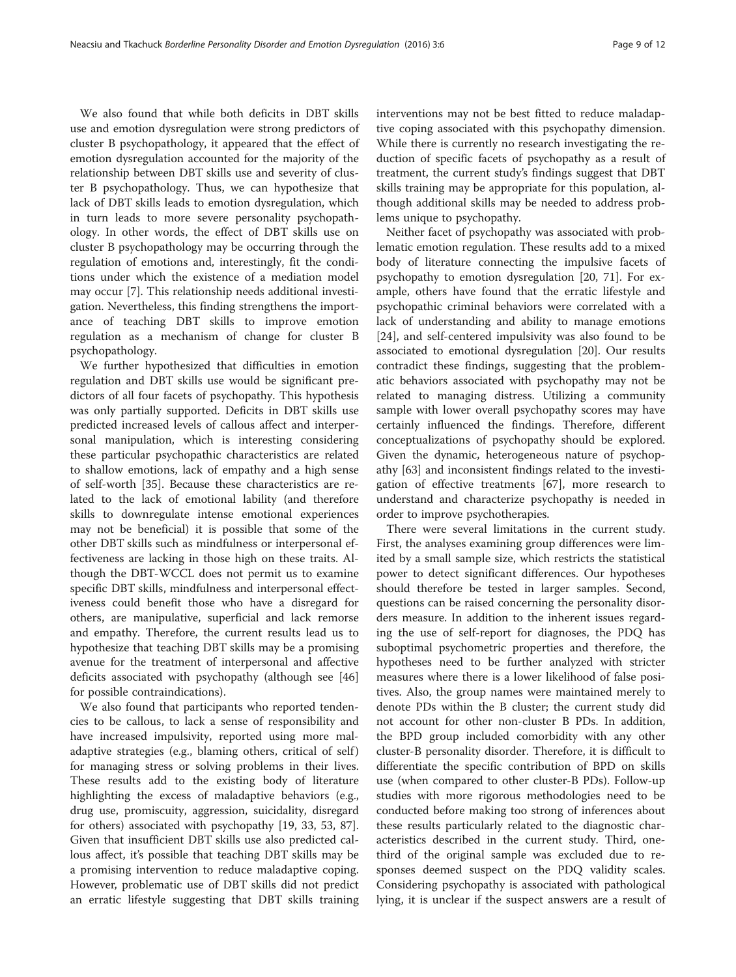We also found that while both deficits in DBT skills use and emotion dysregulation were strong predictors of cluster B psychopathology, it appeared that the effect of emotion dysregulation accounted for the majority of the relationship between DBT skills use and severity of cluster B psychopathology. Thus, we can hypothesize that lack of DBT skills leads to emotion dysregulation, which in turn leads to more severe personality psychopathology. In other words, the effect of DBT skills use on cluster B psychopathology may be occurring through the regulation of emotions and, interestingly, fit the conditions under which the existence of a mediation model may occur [[7\]](#page-9-0). This relationship needs additional investigation. Nevertheless, this finding strengthens the import-

ance of teaching DBT skills to improve emotion regulation as a mechanism of change for cluster B psychopathology. We further hypothesized that difficulties in emotion

regulation and DBT skills use would be significant predictors of all four facets of psychopathy. This hypothesis was only partially supported. Deficits in DBT skills use predicted increased levels of callous affect and interpersonal manipulation, which is interesting considering these particular psychopathic characteristics are related to shallow emotions, lack of empathy and a high sense of self-worth [[35\]](#page-10-0). Because these characteristics are related to the lack of emotional lability (and therefore skills to downregulate intense emotional experiences may not be beneficial) it is possible that some of the other DBT skills such as mindfulness or interpersonal effectiveness are lacking in those high on these traits. Although the DBT-WCCL does not permit us to examine specific DBT skills, mindfulness and interpersonal effectiveness could benefit those who have a disregard for others, are manipulative, superficial and lack remorse and empathy. Therefore, the current results lead us to hypothesize that teaching DBT skills may be a promising avenue for the treatment of interpersonal and affective deficits associated with psychopathy (although see [[46](#page-10-0)] for possible contraindications).

We also found that participants who reported tendencies to be callous, to lack a sense of responsibility and have increased impulsivity, reported using more maladaptive strategies (e.g., blaming others, critical of self) for managing stress or solving problems in their lives. These results add to the existing body of literature highlighting the excess of maladaptive behaviors (e.g., drug use, promiscuity, aggression, suicidality, disregard for others) associated with psychopathy [\[19](#page-10-0), [33, 53,](#page-10-0) [87](#page-11-0)]. Given that insufficient DBT skills use also predicted callous affect, it's possible that teaching DBT skills may be a promising intervention to reduce maladaptive coping. However, problematic use of DBT skills did not predict an erratic lifestyle suggesting that DBT skills training interventions may not be best fitted to reduce maladaptive coping associated with this psychopathy dimension. While there is currently no research investigating the reduction of specific facets of psychopathy as a result of treatment, the current study's findings suggest that DBT skills training may be appropriate for this population, although additional skills may be needed to address problems unique to psychopathy.

Neither facet of psychopathy was associated with problematic emotion regulation. These results add to a mixed body of literature connecting the impulsive facets of psychopathy to emotion dysregulation [\[20](#page-10-0), [71](#page-11-0)]. For example, others have found that the erratic lifestyle and psychopathic criminal behaviors were correlated with a lack of understanding and ability to manage emotions [[24\]](#page-10-0), and self-centered impulsivity was also found to be associated to emotional dysregulation [[20\]](#page-10-0). Our results contradict these findings, suggesting that the problematic behaviors associated with psychopathy may not be related to managing distress. Utilizing a community sample with lower overall psychopathy scores may have certainly influenced the findings. Therefore, different conceptualizations of psychopathy should be explored. Given the dynamic, heterogeneous nature of psychopathy [\[63](#page-11-0)] and inconsistent findings related to the investigation of effective treatments [\[67](#page-11-0)], more research to understand and characterize psychopathy is needed in order to improve psychotherapies.

There were several limitations in the current study. First, the analyses examining group differences were limited by a small sample size, which restricts the statistical power to detect significant differences. Our hypotheses should therefore be tested in larger samples. Second, questions can be raised concerning the personality disorders measure. In addition to the inherent issues regarding the use of self-report for diagnoses, the PDQ has suboptimal psychometric properties and therefore, the hypotheses need to be further analyzed with stricter measures where there is a lower likelihood of false positives. Also, the group names were maintained merely to denote PDs within the B cluster; the current study did not account for other non-cluster B PDs. In addition, the BPD group included comorbidity with any other cluster-B personality disorder. Therefore, it is difficult to differentiate the specific contribution of BPD on skills use (when compared to other cluster-B PDs). Follow-up studies with more rigorous methodologies need to be conducted before making too strong of inferences about these results particularly related to the diagnostic characteristics described in the current study. Third, onethird of the original sample was excluded due to responses deemed suspect on the PDQ validity scales. Considering psychopathy is associated with pathological lying, it is unclear if the suspect answers are a result of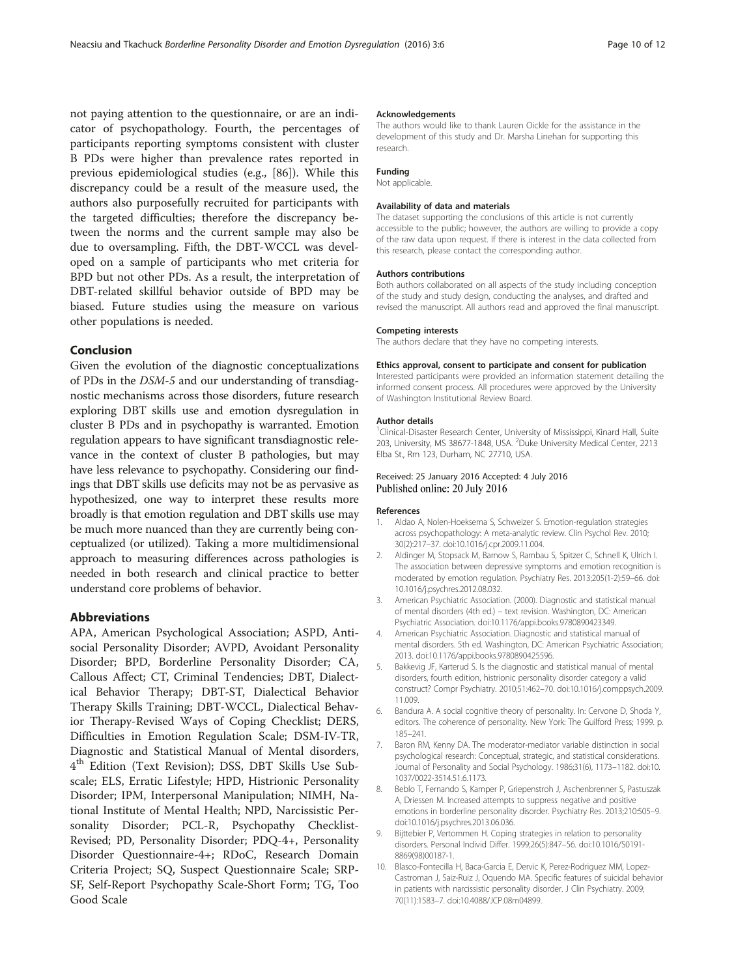<span id="page-9-0"></span>not paying attention to the questionnaire, or are an indicator of psychopathology. Fourth, the percentages of participants reporting symptoms consistent with cluster B PDs were higher than prevalence rates reported in previous epidemiological studies (e.g., [[86](#page-11-0)]). While this discrepancy could be a result of the measure used, the authors also purposefully recruited for participants with the targeted difficulties; therefore the discrepancy between the norms and the current sample may also be due to oversampling. Fifth, the DBT-WCCL was developed on a sample of participants who met criteria for BPD but not other PDs. As a result, the interpretation of DBT-related skillful behavior outside of BPD may be biased. Future studies using the measure on various other populations is needed.

### Conclusion

Given the evolution of the diagnostic conceptualizations of PDs in the DSM-5 and our understanding of transdiagnostic mechanisms across those disorders, future research exploring DBT skills use and emotion dysregulation in cluster B PDs and in psychopathy is warranted. Emotion regulation appears to have significant transdiagnostic relevance in the context of cluster B pathologies, but may have less relevance to psychopathy. Considering our findings that DBT skills use deficits may not be as pervasive as hypothesized, one way to interpret these results more broadly is that emotion regulation and DBT skills use may be much more nuanced than they are currently being conceptualized (or utilized). Taking a more multidimensional approach to measuring differences across pathologies is needed in both research and clinical practice to better understand core problems of behavior.

### Abbreviations

APA, American Psychological Association; ASPD, Antisocial Personality Disorder; AVPD, Avoidant Personality Disorder; BPD, Borderline Personality Disorder; CA, Callous Affect; CT, Criminal Tendencies; DBT, Dialectical Behavior Therapy; DBT-ST, Dialectical Behavior Therapy Skills Training; DBT-WCCL, Dialectical Behavior Therapy-Revised Ways of Coping Checklist; DERS, Difficulties in Emotion Regulation Scale; DSM-IV-TR, Diagnostic and Statistical Manual of Mental disorders, 4th Edition (Text Revision); DSS, DBT Skills Use Subscale; ELS, Erratic Lifestyle; HPD, Histrionic Personality Disorder; IPM, Interpersonal Manipulation; NIMH, National Institute of Mental Health; NPD, Narcissistic Personality Disorder; PCL-R, Psychopathy Checklist-Revised; PD, Personality Disorder; PDQ-4+, Personality Disorder Questionnaire-4+; RDoC, Research Domain Criteria Project; SQ, Suspect Questionnaire Scale; SRP-SF, Self-Report Psychopathy Scale-Short Form; TG, Too Good Scale

#### Acknowledgements

The authors would like to thank Lauren Oickle for the assistance in the development of this study and Dr. Marsha Linehan for supporting this research.

### Funding

Not applicable.

#### Availability of data and materials

The dataset supporting the conclusions of this article is not currently accessible to the public; however, the authors are willing to provide a copy of the raw data upon request. If there is interest in the data collected from this research, please contact the corresponding author.

#### Authors contributions

Both authors collaborated on all aspects of the study including conception of the study and study design, conducting the analyses, and drafted and revised the manuscript. All authors read and approved the final manuscript.

#### Competing interests

The authors declare that they have no competing interests.

#### Ethics approval, consent to participate and consent for publication

Interested participants were provided an information statement detailing the informed consent process. All procedures were approved by the University of Washington Institutional Review Board.

#### Author details

<sup>1</sup>Clinical-Disaster Research Center, University of Mississippi, Kinard Hall, Suite 203, University, MS 38677-1848, USA. <sup>2</sup>Duke University Medical Center, 2213 Elba St., Rm 123, Durham, NC 27710, USA.

Received: 25 January 2016 Accepted: 4 July 2016 Published online: 20 July 2016

#### References

- 1. Aldao A, Nolen-Hoeksema S, Schweizer S. Emotion-regulation strategies across psychopathology: A meta-analytic review. Clin Psychol Rev. 2010; 30(2):217–37. doi[:10.1016/j.cpr.2009.11.004](http://dx.doi.org/10.1016/j.cpr.2009.11.004).
- 2. Aldinger M, Stopsack M, Barnow S, Rambau S, Spitzer C, Schnell K, Ulrich I. The association between depressive symptoms and emotion recognition is moderated by emotion regulation. Psychiatry Res. 2013;205(1-2):59–66. doi: [10.1016/j.psychres.2012.08.032](http://dx.doi.org/10.1016/j.psychres.2012.08.032).
- 3. American Psychiatric Association. (2000). Diagnostic and statistical manual of mental disorders (4th ed.) – text revision. Washington, DC: American Psychiatric Association. doi[:10.1176/appi.books.9780890423349.](http://dx.doi.org/10.1176/appi.books.9780890423349)
- 4. American Psychiatric Association. Diagnostic and statistical manual of mental disorders. 5th ed. Washington, DC: American Psychiatric Association; 2013. doi[:10.1176/appi.books.9780890425596](http://dx.doi.org/10.1176/appi.books.9780890425596).
- 5. Bakkevig JF, Karterud S. Is the diagnostic and statistical manual of mental disorders, fourth edition, histrionic personality disorder category a valid construct? Compr Psychiatry. 2010;51:462–70. doi[:10.1016/j.comppsych.2009.](http://dx.doi.org/10.1016/j.comppsych.2009.11.009) [11.009.](http://dx.doi.org/10.1016/j.comppsych.2009.11.009)
- 6. Bandura A. A social cognitive theory of personality. In: Cervone D, Shoda Y, editors. The coherence of personality. New York: The Guilford Press; 1999. p. 185–241.
- 7. Baron RM, Kenny DA. The moderator-mediator variable distinction in social psychological research: Conceptual, strategic, and statistical considerations. Journal of Personality and Social Psychology. 1986;31(6), 1173–1182. doi[:10.](http://dx.doi.org/10.1037/0022-3514.51.6.1173) [1037/0022-3514.51.6.1173.](http://dx.doi.org/10.1037/0022-3514.51.6.1173)
- 8. Beblo T, Fernando S, Kamper P, Griepenstroh J, Aschenbrenner S, Pastuszak A, Driessen M. Increased attempts to suppress negative and positive emotions in borderline personality disorder. Psychiatry Res. 2013;210:505–9. doi[:10.1016/j.psychres.2013.06.036.](http://dx.doi.org/10.1016/j.psychres.2013.06.036)
- 9. Bijttebier P, Vertommen H. Coping strategies in relation to personality disorders. Personal Individ Differ. 1999;26(5):847–56. doi:[10.1016/S0191-](http://dx.doi.org/10.1016/S0191-8869(98)00187-1) [8869\(98\)00187-1](http://dx.doi.org/10.1016/S0191-8869(98)00187-1).
- 10. Blasco-Fontecilla H, Baca-Garcia E, Dervic K, Perez-Rodriguez MM, Lopez-Castroman J, Saiz-Ruiz J, Oquendo MA. Specific features of suicidal behavior in patients with narcissistic personality disorder. J Clin Psychiatry. 2009; 70(11):1583–7. doi:[10.4088/JCP.08m04899](http://dx.doi.org/10.4088/JCP.08m04899).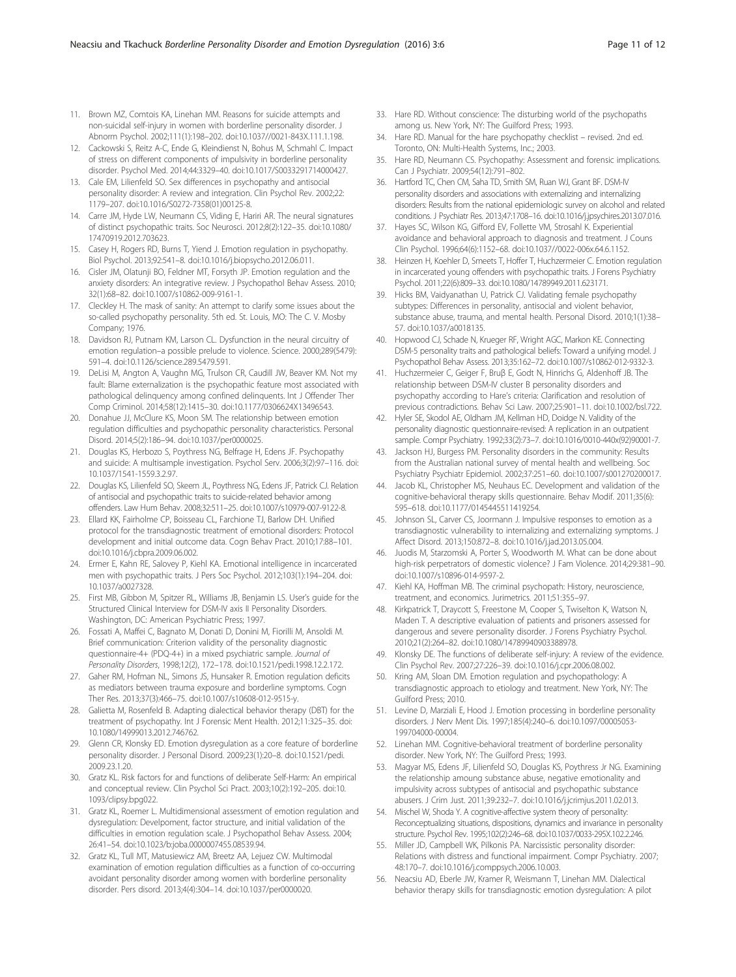- <span id="page-10-0"></span>11. Brown MZ, Comtois KA, Linehan MM. Reasons for suicide attempts and non-suicidal self-injury in women with borderline personality disorder. J Abnorm Psychol. 2002;111(1):198–202. doi[:10.1037//0021-843X.111.1.198.](http://dx.doi.org/10.1037//0021-843X.111.1.198)
- 12. Cackowski S, Reitz A-C, Ende G, Kleindienst N, Bohus M, Schmahl C. Impact of stress on different components of impulsivity in borderline personality disorder. Psychol Med. 2014;44:3329–40. doi[:10.1017/S0033291714000427](http://dx.doi.org/10.1017/S0033291714000427).
- Cale EM, Lilienfeld SO. Sex differences in psychopathy and antisocial personality disorder: A review and integration. Clin Psychol Rev. 2002;22: 1179–207. doi:[10.1016/S0272-7358\(01\)00125-8.](http://dx.doi.org/10.1016/S0272-7358(01)00125-8)
- 14. Carre JM, Hyde LW, Neumann CS, Viding E, Hariri AR, The neural signatures of distinct psychopathic traits. Soc Neurosci. 2012;8(2):122–35. doi[:10.1080/](http://dx.doi.org/10.1080/17470919.2012.703623) [17470919.2012.703623](http://dx.doi.org/10.1080/17470919.2012.703623).
- 15. Casey H, Rogers RD, Burns T, Yiend J. Emotion regulation in psychopathy. Biol Psychol. 2013;92:541–8. doi:[10.1016/j.biopsycho.2012.06.011.](http://dx.doi.org/10.1016/j.biopsycho.2012.06.011)
- 16. Cisler JM, Olatunji BO, Feldner MT, Forsyth JP. Emotion regulation and the anxiety disorders: An integrative review. J Psychopathol Behav Assess. 2010; 32(1):68–82. doi:[10.1007/s10862-009-9161-1.](http://dx.doi.org/10.1007/s10862-009-9161-1)
- 17. Cleckley H. The mask of sanity: An attempt to clarify some issues about the so-called psychopathy personality. 5th ed. St. Louis, MO: The C. V. Mosby Company; 1976.
- 18. Davidson RJ, Putnam KM, Larson CL. Dysfunction in the neural circuitry of emotion regulation–a possible prelude to violence. Science. 2000;289(5479): 591–4. doi:[10.1126/science.289.5479.591](http://dx.doi.org/10.1126/science.289.5479.591).
- 19. DeLisi M, Angton A, Vaughn MG, Trulson CR, Caudill JW, Beaver KM. Not my fault: Blame externalization is the psychopathic feature most associated with pathological delinquency among confined delinquents. Int J Offender Ther Comp Criminol. 2014;58(12):1415–30. doi:[10.1177/0306624X13496543.](http://dx.doi.org/10.1177/0306624X13496543)
- 20. Donahue JJ, McClure KS, Moon SM. The relationship between emotion regulation difficulties and psychopathic personality characteristics. Personal Disord. 2014;5(2):186–94. doi[:10.1037/per0000025.](http://dx.doi.org/10.1037/per0000025)
- 21. Douglas KS, Herbozo S, Poythress NG, Belfrage H, Edens JF. Psychopathy and suicide: A multisample investigation. Psychol Serv. 2006;3(2):97–116. doi: [10.1037/1541-1559.3.2.97](http://dx.doi.org/10.1037/1541-1559.3.2.97).
- 22. Douglas KS, Lilienfeld SO, Skeem JL, Poythress NG, Edens JF, Patrick CJ. Relation of antisocial and psychopathic traits to suicide-related behavior among offenders. Law Hum Behav. 2008;32:511–25. doi[:10.1007/s10979-007-9122-8](http://dx.doi.org/10.1007/s10979-007-9122-8).
- 23. Ellard KK, Fairholme CP, Boisseau CL, Farchione TJ, Barlow DH. Unified protocol for the transdiagnostic treatment of emotional disorders: Protocol development and initial outcome data. Cogn Behav Pract. 2010;17:88–101. doi[:10.1016/j.cbpra.2009.06.002](http://dx.doi.org/10.1016/j.cbpra.2009.06.002).
- 24. Ermer E, Kahn RE, Salovey P, Kiehl KA. Emotional intelligence in incarcerated men with psychopathic traits. J Pers Soc Psychol. 2012;103(1):194–204. doi: [10.1037/a0027328.](http://dx.doi.org/10.1037/a0027328)
- 25. First MB, Gibbon M, Spitzer RL, Williams JB, Benjamin LS. User's guide for the Structured Clinical Interview for DSM-IV axis II Personality Disorders. Washington, DC: American Psychiatric Press; 1997.
- 26. Fossati A, Maffei C, Bagnato M, Donati D, Donini M, Fiorilli M, Ansoldi M. Brief communication: Criterion validity of the personality diagnostic questionnaire-4+ (PDQ-4+) in a mixed psychiatric sample. Journal of Personality Disorders, 1998;12(2), 172–178. doi[:10.1521/pedi.1998.12.2.172.](http://dx.doi.org/10.1521/pedi.1998.12.2.172)
- 27. Gaher RM, Hofman NL, Simons JS, Hunsaker R. Emotion regulation deficits as mediators between trauma exposure and borderline symptoms. Cogn Ther Res. 2013;37(3):466–75. doi:[10.1007/s10608-012-9515-y](http://dx.doi.org/10.1007/s10608-012-9515-y).
- Galietta M, Rosenfeld B. Adapting dialectical behavior therapy (DBT) for the treatment of psychopathy. Int J Forensic Ment Health. 2012;11:325–35. doi: [10.1080/14999013.2012.746762.](http://dx.doi.org/10.1080/14999013.2012.746762)
- 29. Glenn CR, Klonsky ED. Emotion dysregulation as a core feature of borderline personality disorder. J Personal Disord. 2009;23(1):20–8. doi:[10.1521/pedi.](http://dx.doi.org/10.1521/pedi.2009.23.1.20) [2009.23.1.20.](http://dx.doi.org/10.1521/pedi.2009.23.1.20)
- 30. Gratz KL. Risk factors for and functions of deliberate Self-Harm: An empirical and conceptual review. Clin Psychol Sci Pract. 2003;10(2):192–205. doi:[10.](http://dx.doi.org/10.1093/clipsy.bpg022) [1093/clipsy.bpg022](http://dx.doi.org/10.1093/clipsy.bpg022).
- 31. Gratz KL, Roemer L. Multidimensional assessment of emotion regulation and dysregulation: Develpoment, factor structure, and initial validation of the difficulties in emotion regulation scale. J Psychopathol Behav Assess. 2004; 26:41–54. doi:[10.1023/b:joba.0000007455.08539.94.](http://dx.doi.org/10.1023/b:joba.0000007455.08539.94)
- 32. Gratz KL, Tull MT, Matusiewicz AM, Breetz AA, Lejuez CW. Multimodal examination of emotion regulation difficulties as a function of co-occurring avoidant personality disorder among women with borderline personality disorder. Pers disord. 2013;4(4):304–14. doi:[10.1037/per0000020](http://dx.doi.org/10.1037/per0000020).
- 33. Hare RD. Without conscience: The disturbing world of the psychopaths among us. New York, NY: The Guilford Press; 1993.
- 34. Hare RD. Manual for the hare psychopathy checklist revised. 2nd ed. Toronto, ON: Multi-Health Systems, Inc.; 2003.
- 35. Hare RD, Neumann CS. Psychopathy: Assessment and forensic implications. Can J Psychiatr. 2009;54(12):791–802.
- 36. Hartford TC, Chen CM, Saha TD, Smith SM, Ruan WJ, Grant BF. DSM-IV personality disorders and associations with externalizing and internalizing disorders: Results from the national epidemiologic survey on alcohol and related conditions. J Psychiatr Res. 2013;47:1708–16. doi[:10.1016/j.jpsychires.2013.07.016](http://dx.doi.org/10.1016/j.jpsychires.2013.07.016).
- 37. Hayes SC, Wilson KG, Gifford EV, Follette VM, Strosahl K. Experiential avoidance and behavioral approach to diagnosis and treatment. J Couns Clin Psychol. 1996;64(6):1152–68. doi[:10.1037//0022-006x.64.6.1152](http://dx.doi.org/10.1037//0022-006x.64.6.1152).
- 38. Heinzen H, Koehler D, Smeets T, Hoffer T, Huchzermeier C. Emotion regulation in incarcerated young offenders with psychopathic traits. J Forens Psychiatry Psychol. 2011;22(6):809–33. doi:[10.1080/14789949.2011.623171.](http://dx.doi.org/10.1080/14789949.2011.623171)
- 39. Hicks BM, Vaidyanathan U, Patrick CJ. Validating female psychopathy subtypes: Differences in personality, antisocial and violent behavior, substance abuse, trauma, and mental health. Personal Disord. 2010;1(1):38– 57. doi[:10.1037/a0018135](http://dx.doi.org/10.1037/a0018135).
- 40. Hopwood CJ, Schade N, Krueger RF, Wright AGC, Markon KE. Connecting DSM-5 personality traits and pathological beliefs: Toward a unifying model. J Psychopathol Behav Assess. 2013;35:162–72. doi[:10.1007/s10862-012-9332-3](http://dx.doi.org/10.1007/s10862-012-9332-3).
- 41. Huchzermeier C, Geiger F, Bruβ E, Godt N, Hinrichs G, Aldenhoff JB. The relationship between DSM-IV cluster B personality disorders and psychopathy according to Hare's criteria: Clarification and resolution of previous contradictions. Behav Sci Law. 2007;25:901–11. doi:[10.1002/bsl.722](http://dx.doi.org/10.1002/bsl.722).
- 42. Hyler SE, Skodol AE, Oldham JM, Kellman HD, Doidge N. Validity of the personality diagnostic questionnaire-revised: A replication in an outpatient sample. Compr Psychiatry. 1992;33(2):73–7. doi[:10.1016/0010-440x\(92\)90001-7.](http://dx.doi.org/10.1016/0010-440x(92)90001-7)
- 43. Jackson HJ, Burgess PM. Personality disorders in the community: Results from the Australian national survey of mental health and wellbeing. Soc Psychiatry Psychiatr Epidemiol. 2002;37:251–60. doi[:10.1007/s001270200017.](http://dx.doi.org/10.1007/s001270200017)
- 44. Jacob KL, Christopher MS, Neuhaus EC. Development and validation of the cognitive-behavioral therapy skills questionnaire. Behav Modif. 2011;35(6): 595–618. doi[:10.1177/0145445511419254](http://dx.doi.org/10.1177/0145445511419254).
- 45. Johnson SL, Carver CS, Joormann J. Impulsive responses to emotion as a transdiagnostic vulnerability to internalizing and externalizing symptoms. J Affect Disord. 2013;150:872–8. doi[:10.1016/j.jad.2013.05.004.](http://dx.doi.org/10.1016/j.jad.2013.05.004)
- 46. Juodis M, Starzomski A, Porter S, Woodworth M. What can be done about high-risk perpetrators of domestic violence? J Fam Violence. 2014;29:381–90. doi[:10.1007/s10896-014-9597-2](http://dx.doi.org/10.1007/s10896-014-9597-2).
- 47. Kiehl KA, Hoffman MB. The criminal psychopath: History, neuroscience, treatment, and economics. Jurimetrics. 2011;51:355–97.
- 48. Kirkpatrick T, Draycott S, Freestone M, Cooper S, Twiselton K, Watson N, Maden T. A descriptive evaluation of patients and prisoners assessed for dangerous and severe personality disorder. J Forens Psychiatry Psychol. 2010;21(2):264–82. doi:[10.1080/14789940903388978](http://dx.doi.org/10.1080/14789940903388978).
- 49. Klonsky DE. The functions of deliberate self-injury: A review of the evidence. Clin Psychol Rev. 2007;27:226–39. doi:[10.1016/j.cpr.2006.08.002.](http://dx.doi.org/10.1016/j.cpr.2006.08.002)
- Kring AM, Sloan DM. Emotion regulation and psychopathology: A transdiagnostic approach to etiology and treatment. New York, NY: The Guilford Press; 2010.
- 51. Levine D, Marziali E, Hood J. Emotion processing in borderline personality disorders. J Nerv Ment Dis. 1997;185(4):240–6. doi:[10.1097/00005053-](http://dx.doi.org/10.1097/00005053-199704000-00004) [199704000-00004.](http://dx.doi.org/10.1097/00005053-199704000-00004)
- 52. Linehan MM. Cognitive-behavioral treatment of borderline personality disorder. New York, NY: The Guilford Press; 1993.
- 53. Magyar MS, Edens JF, Lilienfeld SO, Douglas KS, Poythress Jr NG. Examining the relationship amoung substance abuse, negative emotionality and impulsivity across subtypes of antisocial and psychopathic substance abusers. J Crim Just. 2011;39:232–7. doi:[10.1016/j.jcrimjus.2011.02.013](http://dx.doi.org/10.1016/j.jcrimjus.2011.02.013).
- 54. Mischel W, Shoda Y. A cognitive-affective system theory of personality: Reconceptualizing situations, dispositions, dynamics and invariance in personality structure. Psychol Rev. 1995;102(2):246–68. doi:[10.1037/0033-295X.102.2.246.](http://dx.doi.org/10.1037/0033-295X.102.2.246)
- 55. Miller JD, Campbell WK, Pilkonis PA. Narcissistic personality disorder: Relations with distress and functional impairment. Compr Psychiatry. 2007; 48:170–7. doi:[10.1016/j.comppsych.2006.10.003.](http://dx.doi.org/10.1016/j.comppsych.2006.10.003)
- 56. Neacsiu AD, Eberle JW, Kramer R, Weismann T, Linehan MM. Dialectical behavior therapy skills for transdiagnostic emotion dysregulation: A pilot